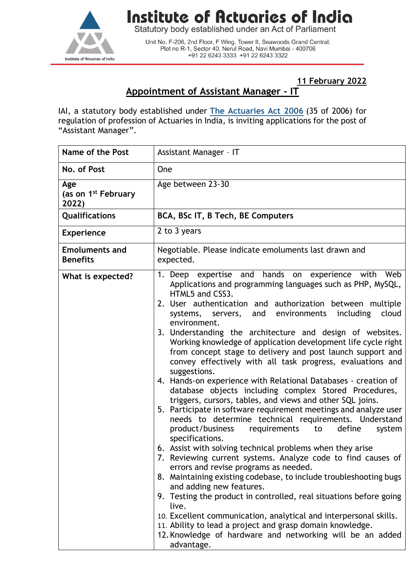

## **Institute of Actuaries of India**

Statutory body established under an Act of Parliament

Unit No. F-206, 2nd Floor, F Wing, Tower II, Seawoods Grand Central,<br>Plot no R-1, Sector 40, Nerul Road, Navi Mumbai - 400706 +91 22 6243 3333 +91 22 6243 3322

**11 February 2022**

## **Appointment of Assistant Manager - IT**

IAI, a statutory body established under **[The Actuaries](http://www.actuariesindia.org/guidance/scanned%20GN.pdf) Act 2006** (35 of 2006) for regulation of profession of Actuaries in India, is inviting applications for the post of "Assistant Manager".

| Name of the Post                                | Assistant Manager - IT                                                                                                                                                                                                                                                                                                                                                                                                                                                                                                                                                                                                                                                                                                                                                                                                                                                                                                                                                                                                                                                                                                                                                                                                                                                                                                                                                                                                                                                                                                             |
|-------------------------------------------------|------------------------------------------------------------------------------------------------------------------------------------------------------------------------------------------------------------------------------------------------------------------------------------------------------------------------------------------------------------------------------------------------------------------------------------------------------------------------------------------------------------------------------------------------------------------------------------------------------------------------------------------------------------------------------------------------------------------------------------------------------------------------------------------------------------------------------------------------------------------------------------------------------------------------------------------------------------------------------------------------------------------------------------------------------------------------------------------------------------------------------------------------------------------------------------------------------------------------------------------------------------------------------------------------------------------------------------------------------------------------------------------------------------------------------------------------------------------------------------------------------------------------------------|
| No. of Post                                     | One                                                                                                                                                                                                                                                                                                                                                                                                                                                                                                                                                                                                                                                                                                                                                                                                                                                                                                                                                                                                                                                                                                                                                                                                                                                                                                                                                                                                                                                                                                                                |
| Age<br>(as on 1 <sup>st</sup> February<br>2022) | Age between 23-30                                                                                                                                                                                                                                                                                                                                                                                                                                                                                                                                                                                                                                                                                                                                                                                                                                                                                                                                                                                                                                                                                                                                                                                                                                                                                                                                                                                                                                                                                                                  |
| Qualifications                                  | BCA, BSc IT, B Tech, BE Computers                                                                                                                                                                                                                                                                                                                                                                                                                                                                                                                                                                                                                                                                                                                                                                                                                                                                                                                                                                                                                                                                                                                                                                                                                                                                                                                                                                                                                                                                                                  |
| <b>Experience</b>                               | 2 to 3 years                                                                                                                                                                                                                                                                                                                                                                                                                                                                                                                                                                                                                                                                                                                                                                                                                                                                                                                                                                                                                                                                                                                                                                                                                                                                                                                                                                                                                                                                                                                       |
| <b>Emoluments and</b><br><b>Benefits</b>        | Negotiable. Please indicate emoluments last drawn and<br>expected.                                                                                                                                                                                                                                                                                                                                                                                                                                                                                                                                                                                                                                                                                                                                                                                                                                                                                                                                                                                                                                                                                                                                                                                                                                                                                                                                                                                                                                                                 |
| What is expected?                               | 1. Deep expertise and hands on experience with Web<br>Applications and programming languages such as PHP, MySQL,<br>HTML5 and CSS3.<br>2. User authentication and authorization between multiple<br>including<br>and environments<br>cloud<br>systems, servers,<br>environment.<br>3. Understanding the architecture and design of websites.<br>Working knowledge of application development life cycle right<br>from concept stage to delivery and post launch support and<br>convey effectively with all task progress, evaluations and<br>suggestions.<br>4. Hands-on experience with Relational Databases - creation of<br>database objects including complex Stored Procedures,<br>triggers, cursors, tables, and views and other SQL joins.<br>5. Participate in software requirement meetings and analyze user<br>needs to determine technical requirements. Understand<br>define<br>product/business<br>requirements<br>to<br>system<br>specifications.<br>6. Assist with solving technical problems when they arise<br>7. Reviewing current systems. Analyze code to find causes of<br>errors and revise programs as needed.<br>8. Maintaining existing codebase, to include troubleshooting bugs<br>and adding new features.<br>9. Testing the product in controlled, real situations before going<br>live.<br>10. Excellent communication, analytical and interpersonal skills.<br>11. Ability to lead a project and grasp domain knowledge.<br>12. Knowledge of hardware and networking will be an added<br>advantage. |